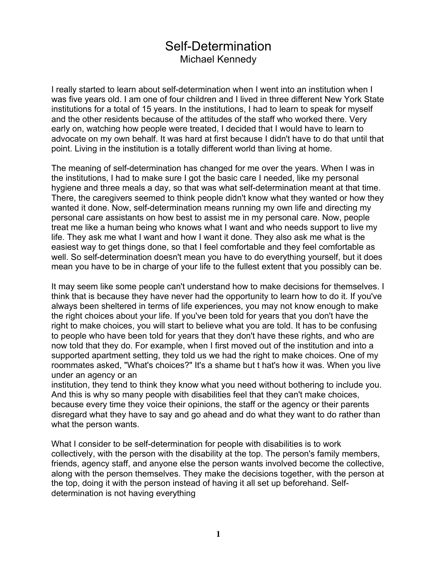## Self-Determination Michael Kennedy

I really started to learn about self-determination when I went into an institution when I was five years old. I am one of four children and I lived in three different New York State institutions for a total of 15 years. In the institutions, I had to learn to speak for myself and the other residents because of the attitudes of the staff who worked there. Very early on, watching how people were treated, I decided that I would have to learn to advocate on my own behalf. It was hard at first because I didn't have to do that until that point. Living in the institution is a totally different world than living at home.

The meaning of self-determination has changed for me over the years. When I was in the institutions, I had to make sure I got the basic care I needed, like my personal hygiene and three meals a day, so that was what self-determination meant at that time. There, the caregivers seemed to think people didn't know what they wanted or how they wanted it done. Now, self-determination means running my own life and directing my personal care assistants on how best to assist me in my personal care. Now, people treat me like a human being who knows what I want and who needs support to live my life. They ask me what I want and how I want it done. They also ask me what is the easiest way to get things done, so that I feel comfortable and they feel comfortable as well. So self-determination doesn't mean you have to do everything yourself, but it does mean you have to be in charge of your life to the fullest extent that you possibly can be.

It may seem like some people can't understand how to make decisions for themselves. I think that is because they have never had the opportunity to learn how to do it. If you've always been sheltered in terms of life experiences, you may not know enough to make the right choices about your life. If you've been told for years that you don't have the right to make choices, you will start to believe what you are told. It has to be confusing to people who have been told for years that they don't have these rights, and who are now told that they do. For example, when I first moved out of the institution and into a supported apartment setting, they told us we had the right to make choices. One of my roommates asked, "What's choices?" It's a shame but t hat's how it was. When you live under an agency or an

institution, they tend to think they know what you need without bothering to include you. And this is why so many people with disabilities feel that they can't make choices, because every time they voice their opinions, the staff or the agency or their parents disregard what they have to say and go ahead and do what they want to do rather than what the person wants.

What I consider to be self-determination for people with disabilities is to work collectively, with the person with the disability at the top. The person's family members, friends, agency staff, and anyone else the person wants involved become the collective, along with the person themselves. They make the decisions together, with the person at the top, doing it with the person instead of having it all set up beforehand. Selfdetermination is not having everything